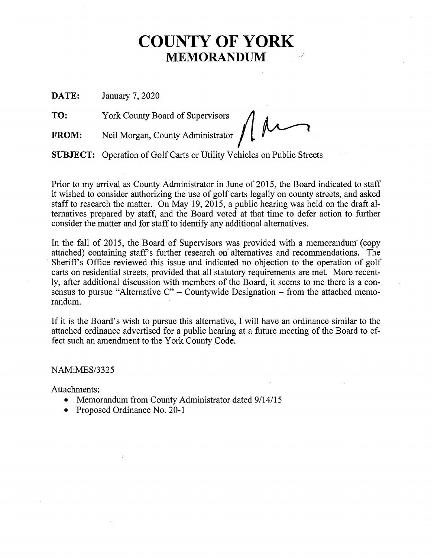# **COUNTY OF YORK MEMORANDUM**

**DATE:** January 7, 2020

**TO:** York County Board of Supervisors

FROM: Neil Morgan, County Administrator

**SUBJECT:** Operation of Golf Carts or Utility Vehicles on Public Streets

Prior to my arrival as County Administrator in June of 2015, the Board indicated to staff it wished to consider authorizing the use of golf carts legally on county streets, and asked staff to research the matter. On May 19, 2015, a public hearing was held on the draft alternatives prepared by staff, and the Board voted at that time to defer action to further consider the matter and for staff to identify any additional alternatives.

In the fall of 2015, the Board of Supervisors was provided with a memorandum (copy attached) containing staff's further research on alternatives and recommendations. The Sheriff's Office reviewed this issue and indicated no objection to the operation of golf carts on residential streets, provided that all statutory requirements are met. More recently, after additional discussion with members of the Board, it seems to me there is a consensus to pursue "Alternative  $C$ " – Countywide Designation – from the attached memorandum.

If it is the Board's wish to pursue this alternative, I will have an ordinance similar to the attached ordinance advertised for a public hearing at a future meeting of the Board to effect such an amendment to the York County Code.

NAM:MES/3325

Attachments:

- Memorandum from County Administrator dated 9/14/15
- Proposed Ordinance No. 20-1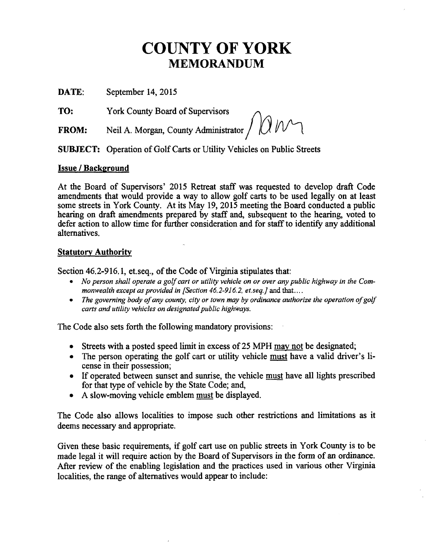# **COUNTY OF YORK MEMORANDUM**

DATE: September 14, 2015

TO: York County Board of Supervisors

FROM: Neil A. Morgan, County Administrator  $\int \int \int \int \mathcal{U}$ 

SUBJECT: Operation of Golf Carts or Utility Vehicles on Public Streets

## **Issue / Background**

At the Board of Supervisors' 2015 Retreat staff was requested to develop draft Code amendments that would provide a way to allow golf carts to be used legally on at least some streets in York County. At its May 19, 2015 meeting the Board conducted a public hearing on draft amendments prepared by staff and, subsequent to the hearing, voted to defer action to allow time for further consideration and for staff to identify any additional alternatives.

### **Statutory Authority**

Section 46.2-916.1, et.seq., of the Code of Virginia stipulates that

- No person shall operate a golf cart or utility vehicle on or over any public highway in the Com*monwealth except as provided in [Section 46.2-916.2, et.seq.]* and that.. ..
- The governing body of any county, city or town may by ordinance authorize the operation of golf *carts and utility vehicles on designated public highways.*

The Code also sets forth the following mandatory provisions:

- Streets with a posted speed limit in excess of 25 MPH may not be designated;
- The person operating the golf cart or utility vehicle must have a valid driver's license in their possession;
- If operated between sunset and sunrise, the vehicle must have all lights prescribed for that type of vehicle by the State Code; and,
- A slow-moving vehicle emblem must be displayed.

The Code also allows localities to impose such other restrictions and limitations as it deems necessary and appropriate.

Given these basic requirements, if golf cart use on public streets in York County is to be made legal it will require action by the Board of Supervisors in the form of an ordinance. After review of the enabling legislation and the practices used in various other Virginia localities, the range of alternatives would appear to include: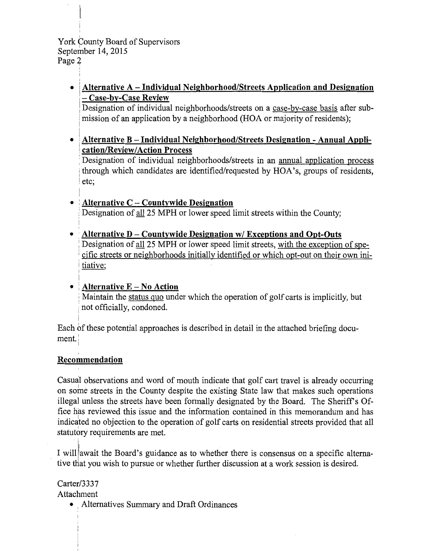York County Board of Supervisors September 14, 2015 Page 2

> ' • i**Alternative A- Individual Neighborhood/Streets Application and Designation**  :- **Case-by-Case Review**

Designation of individual neighborhoods/streets on a case-by-case basis after submission of an application by a neighborhood (HOA or majority of residents);

• **Alternative B-Individual Neighborhood/Streets Designation- Annual Application/ReviewIAction Process** 

Designation of individual neighborhoods/streets in an annual application process through which candidates are identified/requested by HOA's, groups of residents, etc;

- **Alternative C - Countywide Designation**  Designation of all 25 MPH or lower speed limit streets within the County;
- **Alternative D - Countywide Designation w/ Exceptions and Opt-Outs**  Designation of all 25 MPH or lower speed limit streets, with the exception of specific streets or neighborhoods initially identified or which opt-out on their own ini tiative; I
- I • ;**Alternative E- No Action**

Maintain the status quo under which the operation of golf carts is implicitly, but not officially, condoned.

i Each of these potential approaches is described in detail in the attached briefing document. I

# ' **Recommendation**

Casual observations and word of mouth indicate that golf cart travel is already occurring on some streets in the County despite the existing State law that makes such operations illegal unless the streets have been formally designated by the Board. The Sheriff's Office has reviewed this issue and the information contained in this memorandum and has <sup>I</sup> indicated no objection to the operation of golf carts on residential streets provided that all statutory requirements are met.

I willlawait the Board's guidance as to whether there is consensus on a specific alternative that you wish to pursue or whether further discussion at a work session is desired.

Carter/3337 Attachment

• , Alternatives Summary and Draft Ordinances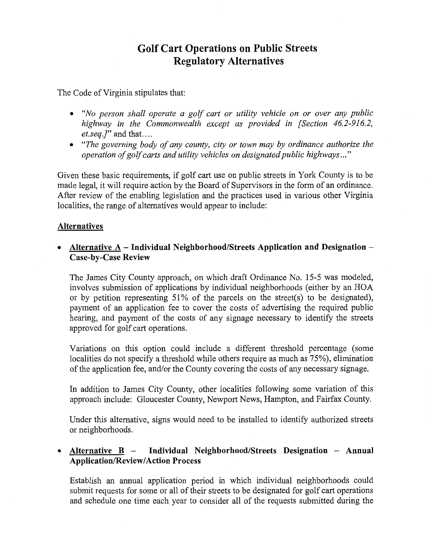# **Golf Cart Operations on Public Streets Regulatory Alternatives**

The Code of Virginia stipulates that:

- *"No person shall operate a golf cart or utility vehicle on or over any public highway in the Commonwealth except as provided in [Section 46.2-916.2, et.seq.]"* and that. ...
- *"The governing body of any county, city or town may by ordinance authorize the* operation of golf carts and utility vehicles on designated public highways..."

Given these basic requirements, if golf cart use on public streets in York County is to be made legal, it will require action by the Board' of Supervisors in the form of an ordinance. After review of the enabling legislation and the practices used in various other Virginia localities, the range of alternatives would appear to include:

## **Alternatives**

• Alternative A – Individual Neighborhood/Streets Application and Designation – **Case-by-Case Review** 

The James City County approach, on which draft Ordinance No. 15-5 was modeled, involves submission of applications by individual neighborhoods (either by an HOA or by petition representing 51% of the parcels on the street(s) to be designated), payment of an application fee to cover the costs of advertising the required public hearing, and payment of the costs of any signage necessary to identify the streets approved for golf cart operations.

Variations on this option could include a different threshold percentage (some localities do not specify a threshold while others require as much as 75%), elimination of the application fee, and/or the County covering the costs of any necessary signage.

In addition to James City County, other localities following some variation of this approach include: Gloucester County, Newport News, Hampton, and Fairfax County.

Under this alternative, signs would need to be installed to identify authorized streets or neighborhoods.

## • **Alternative B - Individual Neighborhood/Streets Designation - Annual Application/ReviewIAction Process**

Establish an annual application period in which individual neighborhoods could submit requests for some or all of their streets to be designated for golf cart operations and schedule one time each year to consider all of the requests submitted during the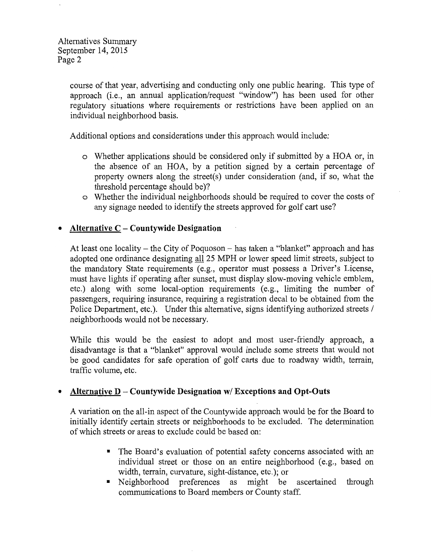course of that year, advertising and conducting only one public hearing. This type of approach (i.e., an annual application/request "window") has been used for other regulatory situations where requirements or restrictions have been applied on an individual neighborhood basis.

Additional options and considerations under this approach would include:

- o Whether applications should be considered only if submitted by a HOA or, in the absence of an HOA, by a petition signed by a certain percentage of property owners along the street(s) under consideration (and, if so, what the threshold percentage should be)?
- o Whether the individual neighborhoods should be required to cover the costs of any signage needed to identify the streets approved for golf cart use?

## • **Alternative C - Countywide Designation**

At least one locality – the City of Poquoson – has taken a "blanket" approach and has adopted one ordinance designating all25 MPH or lower speed limit streets, subject to the mandatory State requirements (e.g., operator must possess a Driver's License, must have lights if operating after sunset, must display slow-moving vehicle emblem, etc.) along with some local-option requirements (e.g., limiting the number of passengers, requiring insurance, requiring a registration decal to be obtained from the Police Department, etc.). Under this alternative, signs identifying authorized streets / neighborhoods would not be necessary.

While this would be the easiest to adopt and most user-friendly approach, a disadvantage is that a "blanket" approval would include some streets that would not be good candidates for safe operation of golf carts due to roadway width, terrain, traffic volume, etc.

### • **Alternative D- Countywide Designation w/ Exceptions and Opt-Outs**

A variation on the all-in aspect of the Countywide approach would be for the Board to initially identify certain streets or neighborhoods to be excluded. The determination of which streets or areas to exclude could be based on:

- The Board's evaluation of potential safety concerns associated with an individual street or those on an entire neighborhood (e.g., based on width, terrain, curvature, sight-distance, etc.); or
- Neighborhood preferences as might be ascertained through communications to Board members or County staff.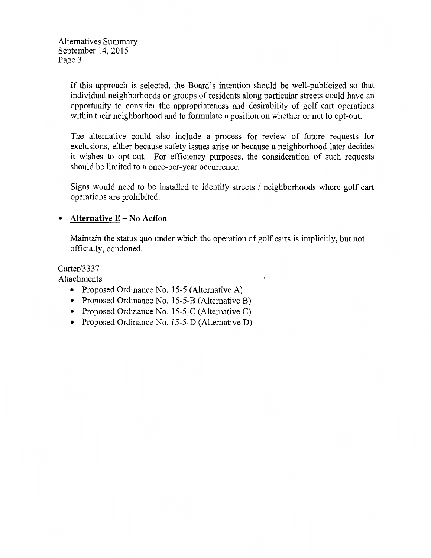Alternatives Summary September 14, 2015 Page 3

> If this approach is selected, the Board's intention should be well-publicized so that individual neighborhoods or groups of residents along particular streets could have an opportunity to consider the appropriateness and desirability of golf cart operations within their neighborhood and to formulate a position on whether or not to opt-out.

> The alternative could also include a process for review of future requests for exclusions, either because safety issues arise or because a neighborhood later decides it wishes to opt-out. For efficiency purposes, the consideration of such requests should be limited to a once-per-year occurrence.

> Signs would need to be installed to identify streets / neighborhoods where golf cart operations are prohibited.

#### • **Alternative** E - No **Action**

Maintain the status quo under which the operation of golf carts is implicitly, but not officially, condoned.

Carter/3337

Attachments

- Proposed Ordinance No. 15-5 (Alternative A)
- Proposed Ordinance No. 15-5-B (Alternative B)
- Proposed Ordinance No. 15-5-C (Alternative C)
- Proposed Ordinance No. 15-5-D (Alternative D)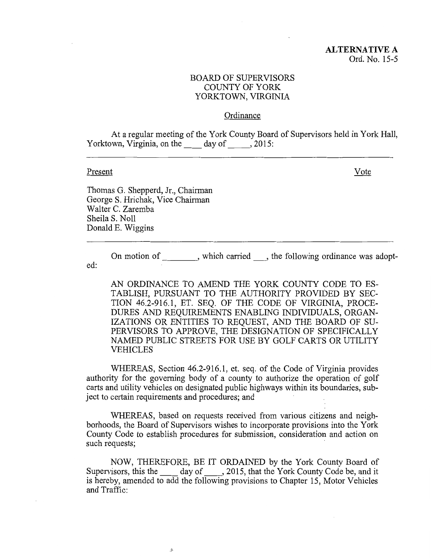#### **Ordinance**

At a regular meeting of the York County Board of Supervisors held in York Hall, Yorktown, Virginia, on the day of 3015:

#### Present

Vote

Thomas G. Shepperd, Jr., Chairman George S. Hrichak, Vice Chairman Walter C. Zaremba Sheila S. Noll Donald E. Wiggins

On motion of extended the following ordinance was adopted:

AN ORDINANCE TO AMEND THE YORK COUNTY CODE TO ES-TABLISH, PURSUANT TO THE AUTHORITY PROVIDED BY SEC-TION 46.2-916.1, ET. SEQ. OF THE CODE OF VIRGINIA, PROCE-DURES AND REQUIREMENTS ENABLING INDIVIDUALS, ORGAN-IZATIONS OR ENTITIES TO REQUEST, AND THE BOARD OF SU-PERVISORS TO APPROVE, THE DESIGNATION OF SPECIFICALLY NAMED PUBLIC STREETS FOR USE BY GOLF CARTS OR UTILITY VEHICLES

WHEREAS, Section 46.2-916.1, et. seq. of the Code of Virginia provides authority for the governing body of a county to authorize the operation of golf carts and utility vehicles on designated public highways within its boundaries, subject to certain requirements and procedures; and

WHEREAS, based on requests received from various citizens and neighborhoods, the Board of Supervisors wishes to incorporate provisions into the York County Code to establish procedures for submission, consideration and action on such requests;

NOW, THEREFORE, BE IT ORDAINED by the York County Board of NOW, THEREFORE, BE IT ORDAINED by the York County Board of<br>Supervisors, this the \_\_\_\_\_ day of \_\_\_\_, 2015, that the York County Code be, and it is hereby, amended to add the following provisions to Chapter 15, Motor Vehicles and Traffic:

,9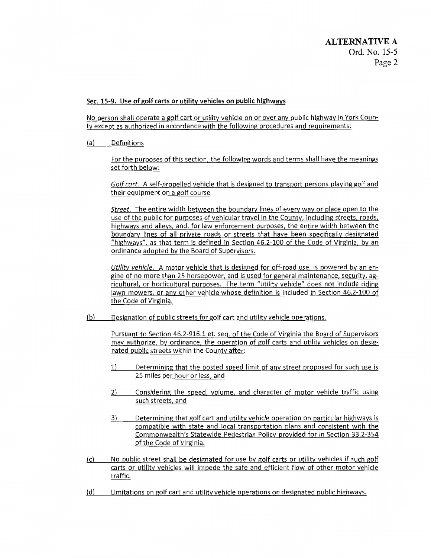#### Sec. 15-9. Use of golf carts or utility vehicles on public highways

No person shall operate a golf cart or utility vehicle on or over any public highway in York County except as authorized in accordance with the following procedures and requirements:

(a) Definitions

For the purposes of this section, the following words and terms shall have the meanings set forth below:

Golf cart. A self-propelled vehicle that is designed to transport persons playing golf and their equipment on a golf course

Street. The entire width between the boundary lines of every way or place open to the use of the public for purposes of vehicular travel in the County, including streets, roads, highways and alleys, and, for law enforcement purposes, the entire width between the boundary lines of all private roads or streets that have been specifically designated "highways", as that term is defined in Section 46.2-100 of the Code of Virginia, by an ordinance adopted by the Board of Supervisors.

*Utility vehicle.* A motor vehicle that is designed for off-road use, is powered by an engine of no more than 25 horsepower, and is used for general maintenance, security, agricultural, or horticultural purposes. The term "utility vehicle" does not include riding lawn mowers, or any other vehicle whose definition is included in Section 46.2-100 of the Code of Virginia.

(b) Designation of public streets for golf cart and utility vehicle operations.

Pursuant to Section 46.2-916.1 et. seq. of the Code of Virginia the Board of Supervisors may authorize, by ordinance, the operation of golf carts and utility vehicles on designated public streets within the County after:

- 1) Determining that the posted speed limit of any street proposed for such use is 25 miles per hour or less, and
- 2) Considering the speed, volume, and character of motor vehicle traffic using such streets, and
- 3) Determining that golf cart and utility vehicle operation on particular highways is compatible with state and local transportation plans and consistent with the Commonwealth's Statewide Pedestrian Policy provided for in Section 33.2-354 of the Code of Virginia.
- (c) No public street shall be designated for use by golf carts or utility vehicles if such golf carts or utility vehicles will impede the safe and efficient flow of other motor vehicle traffic.
- (d) Limitations on golf cart and utility vehicle operations on designated public highways.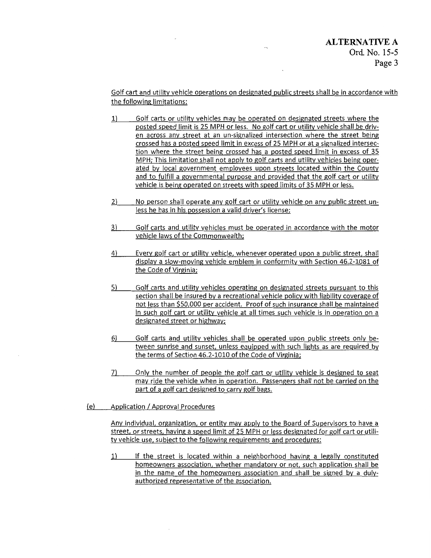Golf cart and utility vehicle operations on designated public streets shall be in accordance with the following limitations:

- 1) Golf carts or utility vehicles may be operated on designated streets where the posted speed limit is 25 MPH or less. No golf cart or utility vehicle shall be driven across any street at an un-signalized intersection where the street being crossed has a posted speed limit in excess of 25 MPH or at a signalized intersection where the street being crossed has a posted speed limit in excess of 35 MPH; This limitation shall not apply to golf carts and utility vehicles being operated by local government employees upon streets located within the County and to fulfill a governmental purpose and provided that the golf cart or utility vehicle is being operated on streets with speed limits of 35 MPH or less.
- 2) No person shall operate any golf cart or utility vehicle on any public street unless he has in his possession a valid driver's license;
- 3) Golf carts and utility vehicles must be operated in accordance with the motor vehicle laws of the Commonwealth;
- 4) Every golf cart or utility vehicle, whenever operated upon a public street. shall display a slow-moving vehicle emblem in conformity with Section 46.2-1081 of the Code of Virginia;
- 5) Golf carts and utility vehicles operating on designated streets pursuant to this section shall be insured by a recreational vehicle policy with liability coverage of not less than \$50,000 per accident. Proof of such insurance shall be maintained in such golf cart or utility vehicle at all times such vehicle is in operation on a designated street or highway;
- 6) Golf carts and utility vehicles shall be operated upon public streets only between sunrise and sunset, unless equipped with such lights as are required by the terms of Section 46.2-1010 of the Code of Virginia;
- 7) Only the number of people the golf cart or utility vehicle is designed to seat may ride the vehicle when in operation. Passengers shall not be carried on the part of a golf cart designed to carry golf bags.
- (e) Application / Approval Procedures

Any individual. organization, or entity may apply to the Board of Supervisors to have a street, or streets. having a speed limit of 25 MPH or less designated for golf cart or utility vehicle use, subject to the following requirements and procedures:

1) If the street is located within a neighborhood having a legally constituted homeowners association, whether mandatory or not, such application shall be in the name of the homeowners association and shall be signed by a dulyauthorized representative of the association.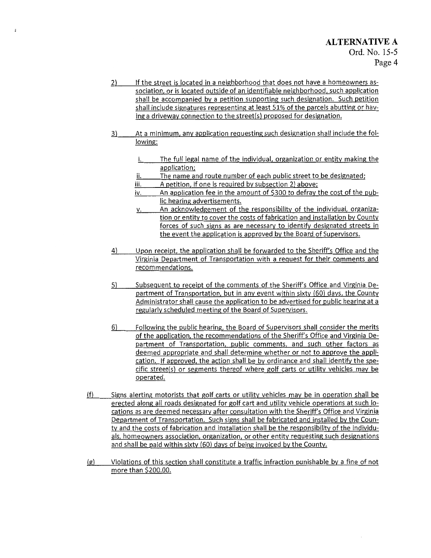- 2) If the street is located in a neighborhood that does not have a homeowners association, or is located outside of an identifiable neighborhood, such application shall be accompanied by a petition supporting such designation. Such petition shall include signatures representing at least 51% of the parcels abutting or having a driveway connection to the street(s) proposed for designation.
- 3) At a minimum, any application requesting such designation shall include the following:
	- i. The full legal name of the individual, organization or entity making the application;
	- ii. The name and route number of each public street to be designated;
	- iii. A petition, if one is required by subsection 2) above;
	- iv. An application fee in the amount of \$300 to defray the cost of the public hearing advertisements.
	- v. An acknowledgement of the responsibility of the individual. organization or entity to cover the costs of fabrication and installation by County forces of such signs as are necessary to identify designated streets in the event the application is approved by the Board of Supervisors.
- 4) Upon receipt, the application shall be forwarded to the Sheriff's Office and the Virginia Department of Transportation with a request for their comments and recommendations.
- 5) Subsequent to receipt of the comments of the Sheriff's Office and Virginia Department of Transportation, but in any event within sixty (60) days, the County Administrator shall cause the application to be advertised for public hearing at a regularly scheduled meeting of the Board of Supervisors.
- 6) Following the public hearing, the Board of Supervisors shall consider the merits of the application, the recommendations of the Sheriff's Office and Virginia Department of Transportation, public comments, and such other factors as deemed appropriate and shall determine whether or not to approve the application. If approved, the action shall be by ordinance and shall identify the specific street(s) or segments thereof where golf carts or utility vehicles may be operated.
- (f) Signs alerting motorists that golf carts or utility vehicles may be in operation shall be erected along all roads designated for golf cart and utility vehicle operations at such locations as are deemed necessary after consultation with the Sheriff's Office and Virginia Department of Transportation. Such signs shall be fabricated and installed by the County and the costs of fabrication and installation shall be the responsibility of the individuals, homeowners association, organization, or other entity requesting such designations and shall be paid within sixty (60) days of being invoiced by the County.
- (g) Violations of this section shall constitute a traffic infraction punishable by a fine of not more than \$200.00.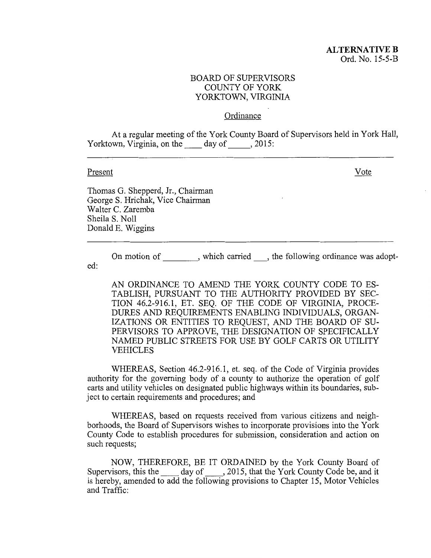#### **Ordinance**

At a regular meeting of the York County Board of Supervisors held in York Hall, Yorktown, Virginia, on the day of , 2015:

#### Present

Vote

Thomas G. Shepperd, Jr., Chairman GeorgeS. Hrichak, Vice Chairman Walter C. Zaremba Sheila S. Noll Donald E. Wiggins

On motion of extended the following ordinance was adopted:

AN ORDINANCE TO AMEND THE YORK COUNTY CODE TO ES-TABLISH, PURSUANT TO THE AUTHORITY PROVIDED BY SEC-TION 46.2-916.1, ET. SEQ. OF THE CODE OF VIRGINIA, PROCE-DURES AND REQUIREMENTS ENABLING INDIVIDUALS, ORGAN-IZATIONS OR ENTITIES TO REQUEST, AND THE BOARD OF SU-PERVISORS TO APPROVE, THE DESIGNATION OF SPECIFICALLY NAMED PUBLIC STREETS FOR USE BY GOLF CARTS OR UTILITY VEHICLES

WHEREAS, Section 46.2-916.1, et. seq. of the Code of Virginia provides authority for the governing body of a county to authorize the operation of golf carts and utility vehicles on designated public highways within its boundaries, subject to certain requirements and procedures; and

WHEREAS, based on requests received from various citizens and neighborhoods, the Board of Supervisors wishes to incorporate provisions into the York County Code to establish procedures for submission, consideration and action on such requests;

NOW, THEREFORE, BE IT ORDAINED by the York County Board of Supervisors, this the \_\_ day of \_\_, 2015, that the York County Code be, and it is hereby, amended to add the following provisions to Chapter 15, Motor Vehicles and Traffic: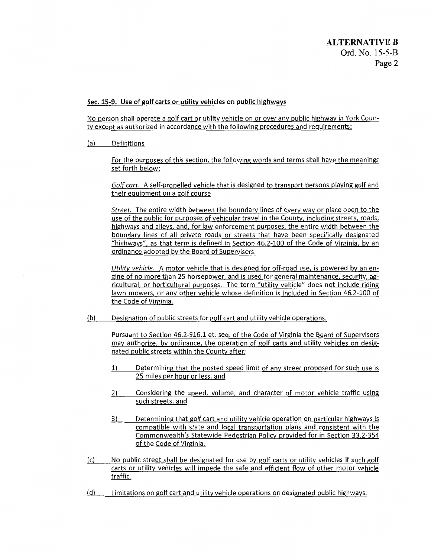#### Sec. 15-9. Use of golf carts or utility vehicles on public highways

No person shall operate a golf cart or utility vehicle on or over any public highway in York County except as authorized in accordance with the following procedures and requirements:

(a) Definitions

For the purposes of this section, the following words and terms shall have the meanings set forth below:

Golf cart. A self-propelled vehicle that is designed to transport persons playing golf and their equipment on a golf course

*Street.* The entire width between the boundary lines of every way or place open to the use of the public for purposes of vehicular travel in the County, including streets, roads, highways and alleys, and, for law enforcement purposes, the entire width between the boundary lines of all private roads or streets that have been specifically designated "highways", as that term is defined in Section 46.2-100 of the Code of Virginia, by an ordinance adopted by the Board of Supervisors.

*Utility vehicle.* A motor vehicle that is designed for off-road use, is powered by an engine of no more than 25 horsepower, and is used for general maintenance, security, agricultural, or horticultural purposes. The term "utility vehicle" does not include riding lawn mowers, or any other vehicle whose definition is included in Section 46.2-100 of the Code of Virginia.

(b) Designation of public streets for golf cart and utility vehicle operations.

Pursuant to Section 46.2-916.1 et. seq. of the Code of Virginia the Board of Supervisors may authorize, by ordinance, the operation of golf carts and utility vehicles on designated public streets within the County after:

- 1) Determining that the posted speed limit of any street proposed for such use is 25 miles per hour or less, and
- 2) Considering the speed, volume, and character of motor vehicle traffic using such streets, and
- 3) Determining that golf cart and utility vehicle operation on particular highways is compatible with state and local transportation plans and consistent with the Commonwealth's Statewide Pedestrian Policy provided for in Section 33.2-354 of the Code of Virginia.
- (c) No public street shall be designated for use by golf carts or utility vehicles if such golf carts or utility vehicles will impede the safe and efficient flow of other motor vehicle traffic:
- (d) Limitations on golf cart and utility vehicle operations on designated public highways.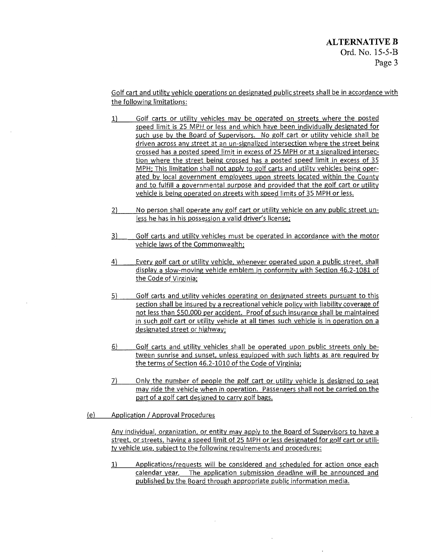Golf cart and utility vehicle operations on designated public streets shall be in accordance with the following limitations:

- 1) Golf carts or utility vehicles may be operated on streets where the posted speed limit is 25 MPH or less and which have been individually designated for such use by the Board of Supervisors. No golf cart or utility vehicle shall be driven across any street at an un-signalized intersection where the street being crossed has a posted speed limit in excess of 25 MPH or at a signalized intersection where the street being crossed has a posted speed limit in excess of 35 MPH; This limitation shall not apply to golf carts and utility vehicles being operated by local government employees upon streets located within the County and to fulfill a governmental purpose and provided that the golf cart or utility vehicle is being operated on streets with speed limits of 35 MPH or less.
- 2) No person shall operate any golf cart or utility vehicle on any public street unless he has in his possession a valid driver's license;
- 3) Golf carts and utility vehicles must be operated in accordance with the motor vehicle laws of the Commonwealth;
- 4) Every golf cart or utility vehicle, whenever operated upon a public street, shall display a slow-moving vehicle emblem in conformity with Section 46.2-1081 of the Code of Virginia;
- 5) Golf carts and utility vehicles operating on designated streets pursuant to this section shall be insured by a recreational vehicle policy with liability coverage of not less than \$50,000 per accident. Proof of such insurance shall be maintained in such golf cart or utility vehicle at all times such vehicle is in operation on a designated street or highway;
- 6) Golf carts and utility vehicles shall be operated upon public streets only between sunrise and sunset, unless equipped with such lights as are required by the terms of Section 46.2-1010 of the Code of Virginia;
- 7} Only the number of people the golf cart or utility vehicle is designed to seat may ride the vehicle when in operation. Passengers shall not be carried on the part of a golf cart designed to carry golf bags.
- (e) Application / Approval Procedures

Any individual, organization, or entity may apply to the Board of Supervisors to have a street, or streets, having a speed limit of 25 MPH or less designated for golf cart or utility vehicle use, subject to the following requirements and procedures:

1} Applications/requests will be considered and scheduled for action once each calendar year. The application submission deadline will be announced and published by the Board through appropriate public information media.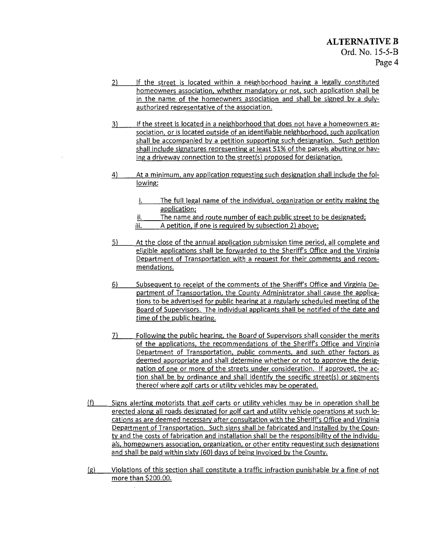- 2) If the street is located within a neighborhood having a legally constituted homeowners association, whether mandatory or not, such application shall be in the name of the homeowners association and shall be signed by a dulyauthorized representative of the association.
- 3) If the street is located in a neighborhood that does not have a homeowners association, or is located outside of an identifiable neighborhood, such application shall be accompanied by a petition supporting such designation. Such petition shall include signatures representing at least 51% of the parcels abutting or having a driveway connection to the street(s) proposed for designation.
- 4) At a minimum, any application requesting such designation shall include the following:
	- i. The full legal name of the individual, organization or entity making the application;
	- ii. The name and route number of each public street to be designated;
	- iii. A petition, if one is required by subsection 2) above;
- 5) At the close of the annual application submission time period, all complete and eligible applications shall be forwarded to the Sheriff's Office and the Virginia Department of Transportation with a request for their comments and recommendations.
- 6) Subsequent to receipt of the comments of the Sheriff's Office and Virginia Department of Transportation, the County Administrator shall cause the applications to be advertised for public hearing at a regularly scheduled meeting of the Board of Supervisors. The individual applicants shall be notified of the date and time of the public hearing.
- 7) Following the public hearing, the Board of Supervisors shall consider the merits of the applications, the recommendations of the Sheriff's Office and Virginia Department of Transportation, public comments, and such other factors as deemed appropriate and shall determine whether or not to approve the designation of one or more of the streets under consideration. If approved, the action shall be by ordinance and shall identify the specific street(s) or segments thereof where golf carts or utility vehicles may be operated.
- (f) Signs alerting motorists that golf carts or utility vehicles may be in operation shall be erected along all roads designated for golf cart and utility vehicle operations at such locations as are deemed necessary after consultation with the Sheriff's Office and Virginia Department of Transportation. Such signs shall be fabricated and installed by the County and the costs of fabrication and installation shall be the responsibility of the individuals, homeowners association, organization, or other entity requesting such designations and shall be paid within sixty (60) days of being invoiced by the County.
- (g) Violations of this section shall constitute a traffic infraction punishable by a fine of not more than \$200.00.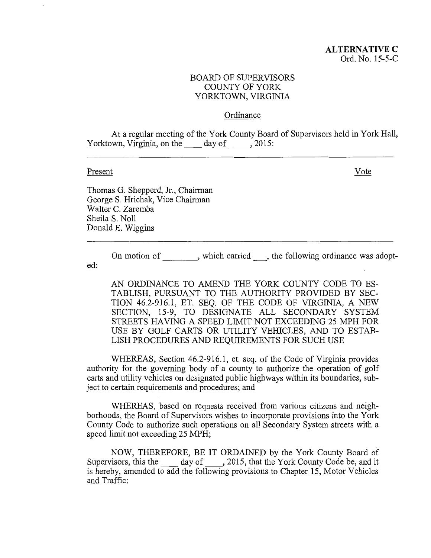#### Ordinance

At a regular meeting of the York County Board of Supervisors held in York Hall, Yorktown, Virginia, on the  $\_\_\_\_\$  day of  $\_\_\_\_\$ , 2015:

#### Present

Vote

Thomas G. Shepperd, Jr., Chairman GeorgeS. Hrichak, Vice Chairman Walter C. Zaremba Sheila S. Noll Donald E. Wiggins

On motion of extended the following ordinance was adopted:

AN ORDINANCE TO AMEND THE YORK COUNTY CODE TO ES-TABLISH, PURSUANT TO THE AUTHORITY PROVIDED BY SEC-TION 46.2-916.1, ET. SEQ. OF THE CODE OF VIRGINIA, A NEW SECTION, 15-9, TO DESIGNATE ALL SECONDARY SYSTEM STREETS HAVING A SPEED LIMIT NOT EXCEEDING 25 MPH FOR USE BY GOLF CARTS OR UTILITY VEHICLES, AND TO ESTAB-LISH PROCEDURES AND REQUIREMENTS FOR SUCH USE

WHEREAS, Section 46.2-916.1, et. seq. of the Code of Virginia provides authority for the governing body of a county to authorize the operation of golf carts and utility vehicles on designated public highways within its boundaries, subject to certain requirements and procedures; and

WHEREAS, based on requests received from various citizens and neighborhoods, the Board of Supervisors wishes to incorporate provisions into the York County Code to authorize such operations on all Secondary System streets with a speed limit not exceeding 25 MPH;

NOW, THEREFORE, BE IT ORDAINED by the York County Board of Supervisors, this the day of , 2015, that the York County Code be, and it is hereby, amended to add the following provisions to Chapter 15, Motor Vehicles and Traffic: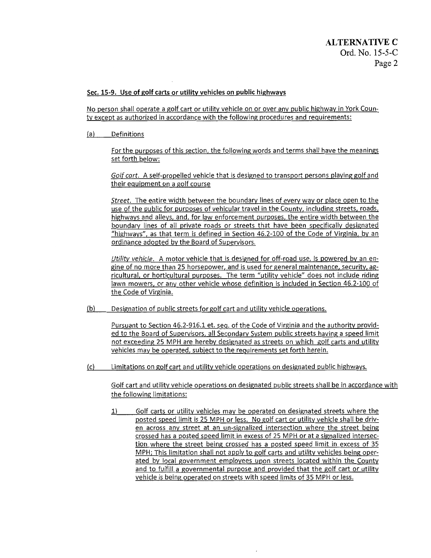#### Sec. 15-9. Use of golf carts or utility vehicles on public highways

No person shall operate a golf cart or utility vehicle on or over any public highway in York County except as authorized in accordance with the following procedures and requirements:

(a) Definitions

For the purposes of this section, the following words and terms shall have the meanings set forth below:

Golf cart. A self-propelled vehicle that is designed to transport persons playing golf and their equipment on a golf course

Street. The entire width between the boundary lines of every way or place open to the use of the public for purposes of vehicular travel in the County, including streets, roads, highways and alleys, and, for law enforcement purposes, the entire width between the boundary lines of all private roads or streets that have been specifically designated "highways", as that term is defined in Section 46.2-100 of the Code of Virginia, by an ordinance adopted by the Board of Supervisors.

Utility vehicle. A motor vehicle that is designed for off-road use, is powered by an engine of no more than 25 horsepower, and is used for general maintenance, security, agricultural, or horticultural purposes. The term "utility vehicle" does not include riding lawn mowers, or any other vehicle whose definition is included in Section 46.2-100 of the Code of Virginia.

(b) Designation of public streets for golf cart and utility vehicle operations.

Pursuant to Section 46.2-916.1 et. seq. of the Code of Virginia and the authority provided to the Board of Supervisors, all Secondary System public streets having a speed limit not exceeding 25 MPH are hereby designated as streets on which golf carts and utility vehicles may be operated, subject to the requirements set forth herein.

(c) Limitations on golf cart and utility vehicle operations on designated public highways.

Golf cart and utility vehicle operations on designated public streets shall be in accordance with the following limitations:

1) Golf carts or utility vehicles may be operated on designated streets where the posted speed limit is 25 MPH or less. No golf cart or utility vehicle shall be driven across any street at an un-signalized intersection where the street being crossed has a posted speed limit in excess of 25 MPH or at a signalized intersection where the street being crossed has a posted speed limit in excess of 35 MPH; This limitation shall not apply to golf carts and utility vehicles being operated by local government employees upon streets located within the County and to fulfill a governmental purpose and provided that the golf cart or utility vehicle is being operated on streets with speed limits of 35 MPH or less.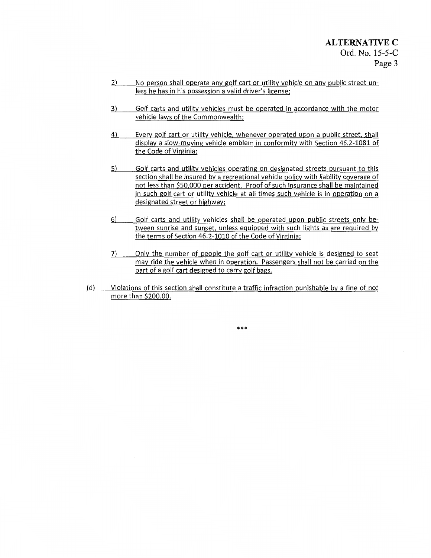- 2) No person shall operate any golf cart or utility vehicle on any public street unless he has in his possession a valid driver's license;
- 3) Golf carts and utility vehicles must be operated in accordance with the motor vehicle laws of the Commonwealth;
- 4) Every golf cart or utility vehicle, whenever operated upon a public street, shall display a slow-moving vehicle emblem in conformity with Section 46.2-1081 of the Code of Virginia;
- 5) Golf carts and utility vehicles operating on designated streets pursuant to this section shall be insured by a recreational vehicle policy with liability coverage of not less than \$50,000 per accident. Proof of such insurance shall be maintained in such golf cart or utility vehicle at all times such vehicle is in operation on a designated street or highway;
- 6) Golf carts and utility vehicles shall be operated upon public streets only between sunrise and sunset, unless equipped with such lights as are required by the terms of Section 46.2-1010 of the Code of Virginia;
- 7) Only the number of people the golf cart or utility vehicle is designed to seat may ride the vehicle when in operation. Passengers shall not be carried on the part of a golf cart designed to carry golf bags.
- {d) Violations of this section shall constitute a traffic infraction punishable by a fine of not more than \$200.00.

\*\*\*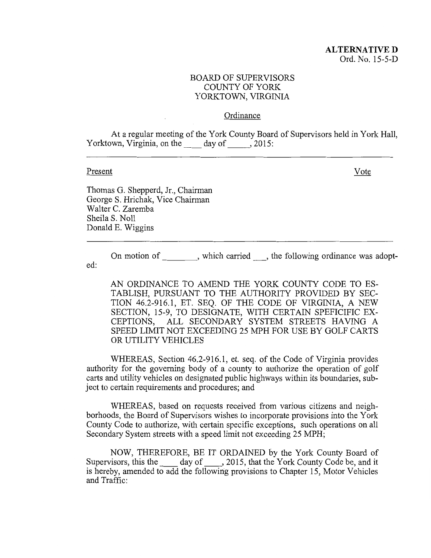#### Ordinance

At a regular meeting of the York County Board of Supervisors held in York Hall, Yorktown, Virginia, on the day of , 2015:

#### Present

Vote

Thomas G. Shepperd, Jr., Chairman GeorgeS. Hrichak, Vice Chairman Walter C. Zaremba Sheila S. Noll Donald E. Wiggins

On motion of extending the following ordinance was adopt-

ed:

AN ORDINANCE TO AMEND THE YORK COUNTY CODE TO ES-TABLISH, PURSUANT TO THE AUTHORITY PROVIDED BY SEC-TION 46.2-916.1, ET. SEQ. OF THE CODE OF VIRGINIA, A NEW SECTION, 15-9, TO DESIGNATE, WITH CERTAIN SPEFICIFIC EX-CEPTIONS, ALL SECONDARY SYSTEM STREETS HAVING A SPEED LIMIT NOT EXCEEDING 25 MPH FOR USE BY GOLF CARTS OR UTILITY VEHICLES

WHEREAS, Section 46.2-916.1, et. seq. of the Code of Virginia provides authority for the governing body of a county to authorize the operation of golf carts and utility vehicles on designated public highways within its boundaries, subject to certain requirements and procedures; and

WHEREAS, based on requests received from various citizens and neighborhoods, the Board of Supervisors wishes to incorporate provisions into the York County Code to authorize, with certain specific exceptions, such operations on all Secondary System streets with a speed limit not exceeding 25 MPH;

NOW, THEREFORE, BE IT ORDAINED by the York County Board of Supervisors, this the \_\_\_\_ day of \_\_\_\_, 2015, that the York County Code be, and it is hereby, amended to add the following provisions to Chapter 15, Motor Vehicles and Traffic: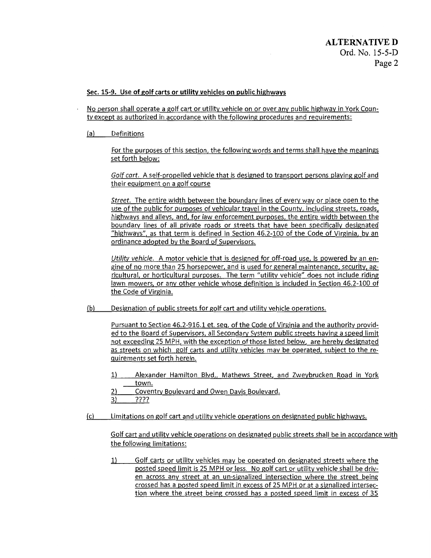#### Sec. 15-9. Use of golf carts or utility vehicles on public highways

No person shall operate a golf cart or utility vehicle on or over any public highway in York County except as authorized in accordance with the following procedures and requirements:

(a) Definitions

For the purposes of this section, the following words and terms shall have the meanings set forth below:

Golf cart. A self-propelled vehicle that is designed to transport persons playing golf and their equipment on a golf course

*Street.* The entire width between the boundary lines of every way or place open to the use of the public for purposes of vehicular travel in the County, including streets, roads, highways and alleys, and, for law enforcement purposes, the entire width between the boundary lines of all private roads or streets that have been specifically designated "highways", as that term is defined in Section 46.2-100 of the Code of Virginia, by an ordinance adopted by the Board of Supervisors.

*Utility vehicle.* A motor vehicle that is designed for off-road use, is powered by an engine of no more than 25 horsepower, and is used for general maintenance, security, agricultural, or horticultural purposes. The term "utility vehicle" does not include riding lawn mowers, or any other vehicle whose definition is included in Section 46.2-100 of the Code of Virginia.

(b) Designation of public streets for golf cart and utility vehicle operations.

Pursuant to Section 46.2-916.1 et. seq. of the Code of Virginia and the authority provided to the Board of Supervisors, all Secondary System public streets having a speed limit not exceeding 25 MPH, with the exception of those listed below, are hereby designated as streets on which golf carts and utility vehicles may be operated, subject to the requirements set forth herein.

- 1) Alexander Hamilton Blvd,. Mathews Street, and Zweybrucken Road in York town.
- 2) Coventry Boulevard and Owen Davis Boulevard.

3) ????

(c) Limitations on golf cart and utility vehicle operations on designated public highways.

Golf cart and utility vehicle operations on designated public streets shall be in accordance with the following limitations:

1) Golf carts or utility vehicles may be operated on designated streets where the posted speed limit is 25 MPH or less. No golf cart or utility vehicle shall be driven across any street at an un-signalized intersection where the street being crossed has a posted speed limit in excess of 25 MPH or at a signalized intersection where the street being crossed has a posted speed limit in excess of 35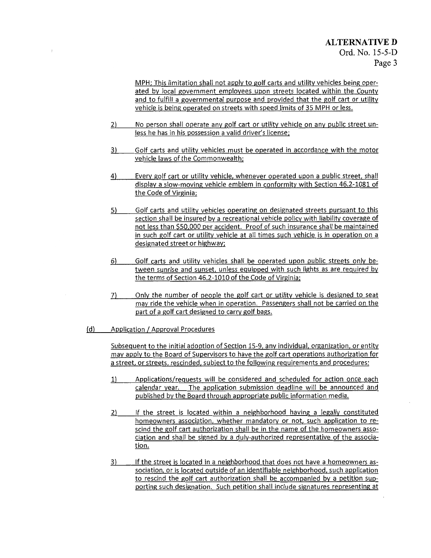MPH; This limitation shall not apply to golf carts and utility vehicles being operated by local government employees upon streets located within the County and to fulfill a governmental purpose and provided that the golf cart or utility vehicle is being operated on streets with speed limits of 35 MPH or less.

- 2) No person shall operate any golf cart or utility vehicle on any public street unless he has in his possession a valid driver's license;
- 3) Golf carts and utility vehicles must be operated in accordance with the motor vehicle laws of the Commonwealth;
- 4) Every golf cart or utility vehicle, whenever operated upon a public street, shall display a slow-moving vehicle emblem in conformity with Section 46.2-1081 of the Code of Virginia;
- 5) Golf carts and utility vehicles operating on designated streets pursuant to this section shall be insured by a recreational vehicle policy with liability coverage of not less than \$50,000 per accident. Proof of such insurance shall be maintained in such golf cart or utility vehicle at all times such vehicle is in operation on a designated street or highway;
- 6) Golf carts and utility vehicles shall be operated upon public streets only between sunrise and sunset, unless equipped with such lights as are required by the terms of Section 46.2-1010 of the Code of Virginia;
- 7) Only the number of people the golf cart or utility vehicle is designed to seat may ride the vehicle when in operation. Passengers shall not be carried on the part of a golf cart designed to carry golf bags.
- (d) Application / Approval Procedures

Subsequent to the initial adoption of Section 15-9, any individual, organization, or entity may apply to the Board of Supervisors to have the golf cart operations authorization for a street, or streets, rescinded, subject to the following requirements and procedures:

- 1) Applications/requests will be considered and scheduled for action once each calendar year. The application submission deadline will be announced and published by the Board through appropriate public information media.
- 2) If the street is located within a neighborhood having a legally constituted homeowners association, whether mandatory or not, such application to rescind the golf cart authorization shall be in the name of the homeowners association and shall be signed by a duly-authorized representative of the association.
- 3) If the street is located in a neighborhood that does not have a homeowners association, or is located outside of an identifiable neighborhood, such application to rescind the golf cart authorization shall be accompanied by a petition supporting such designation. Such petition shall include signatures representing at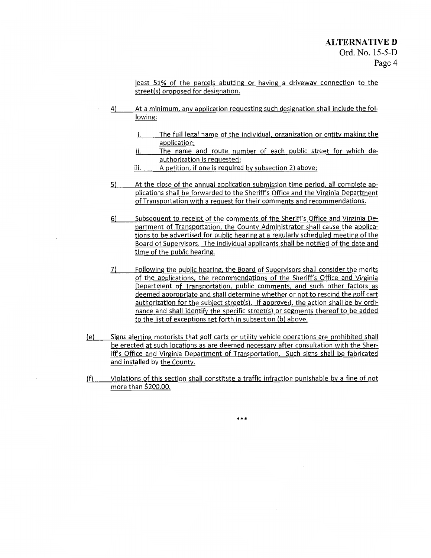least 51% of the parcels abutting or having a driveway connection to the street(s) proposed for designation.

- 4) At a minimum, any application requesting such designation shall include the following:
	- i. The full legal name of the individual, organization or entity making the application;
	- ii. The name and route number of each public street for which deauthorization is requested;
	- iii. A petition, if one is required by subsection 2) above;
- 5) At the close of the annual application submission time period, all complete applications shall be forwarded to the Sheriff's Office and the Virginia Department of Transportation with a request for their comments and recommendations.
- 6) Subsequent to receipt of the comments of the Sheriff's Office and Virginia Department of Transportation, the County Administrator shall cause the applications to be advertised for public hearing at a regularly scheduled meeting of the Board of Supervisors. The individual applicants shall be notified of the date and time of the public hearing.
- 7) Following the public hearing, the Board of Supervisors shall consider the merits of the applications, the recommendations of the Sheriff's Office and Virginia Department of Transportation, public comments, and such other factors as deemed appropriate and shall determine whether or not to rescind the golf cart authorization for the subiect street(s). If approved, the action shall be by ordinance and shall identify the specific street(s) or segments thereof to be added to the list of exceptions set forth in subsection (b) above.
- (e) Signs alerting motorists that golf carts or utility vehicle operations are prohibited shall be erected at such locations as are deemed necessary after consultation with the Sheriff's Office and Virginia Department of Transportation. Such signs shall be fabricated and installed by the County.
- (f) Violations of this section shall constitute a traffic infraction punishable by a fine of not more than \$200.00.

\*\*\*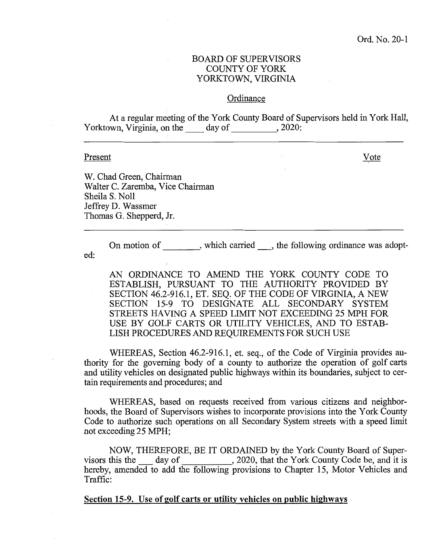#### **Ordinance**

At a regular meeting of the York County Board of Supervisors held in York Hall, Yorktown, Virginia, on the \_\_\_\_\_ day of \_\_\_\_\_\_\_\_\_, 2020:

#### Present

Vote

W. Chad Green, Chairman Walter C. Zaremba, Vice Chairman Sheila S. Noll Jeffrey D. Wassmer Thomas G. Shepperd, Jr.

On motion of , which carried , the following ordinance was adopted:

AN ORDINANCE TO AMEND THE YORK COUNTY CODE TO ESTABLISH, PURSUANT TO THE AUTHORITY PROVIDED BY SECTION 46.2-916.1, ET. SEQ. OF THE CODE OF VIRGINIA, A NEW SECTION 15-9 TO DESIGNATE ALL SECONDARY SYSTEM STREETS HAVING A SPEED LIMIT NOT EXCEEDING 25 MPH FOR USE BY GOLF CARTS OR UTILITY VEHICLES, AND TO ESTAB-LISH PROCEDURES AND REQUIREMENTS FOR SUCH USE

WHEREAS, Section 46.2-916.1, et. seq., of the Code of Virginia provides authority for the governing body of a county to authorize the operation of golf carts and utility vehicles on designated public highways within its boundaries, subject to certain requirements and procedures; and

WHEREAS, based on requests received from various citizens and neighborhoods, the Board of Supervisors wishes to incorporate provisions into the York County Code to authorize such operations on all Secondary System streets with a speed limit not exceeding 25 MPH;

NOW, THEREFORE, BE IT ORDAINED by the York County Board of Supervisors this the  $\_\_\_$  day of  $\_\_\_\_\_$ , 2020, that the York County Code be, and it is hereby, amended to add the following provisions to Chapter 15, Motor Vehicles and Traffic:

Section 15-9. Use of golf carts or utility vehicles on public highways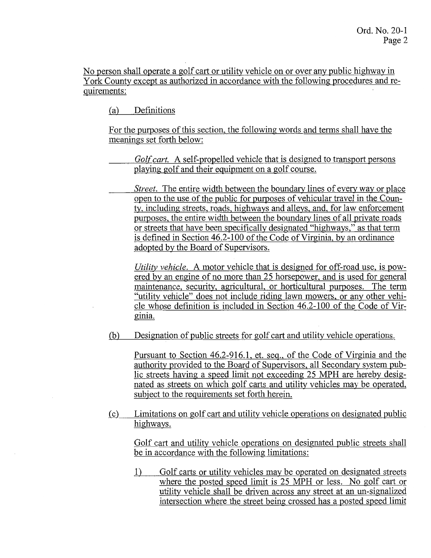No person shall operate a golf cart or utility vehicle on or over any public highway in York County except as authorized in accordance with the following procedures and requirements:

(a) Definitions

For the purposes of this section, the following words and terms shall have the meanings set forth below:

*Golf cart.* A self-propelled vehicle that is designed to transport persons playing golf and their equipment on a golf course.

*Street.* The entire width between the boundary lines of every way or place open to the use of the public for purposes of vehicular travel in the County, including streets, roads, highways and alleys, and, for law enforcement purposes, the entire width between the boundary lines of all private roads or streets that have been specifically designated "highways," as that term is defined in Section 46.2-100 of the Code of Virginia, by an ordinance adopted by the Board of Supervisors.

*Utility vehicle.* A motor vehicle that is designed for off-road use, is powered by an engine of no more than 25 horsepower, and is used for general maintenance, security, agricultural, or horticultural purposes. The term "utility vehicle" does not include riding lawn mowers, or any other vehicle whose definition is included in Section 46.2-100 of the Code of Virginia.

(b) Designation of public streets for golf cart and utility vehicle operations.

Pursuant to Section 46.2-916.1, et. seq., of the Code of Virginia and the authority provided to the Board of Supervisors, all Secondary system public streets having a speed limit not exceeding 25 MPH are hereby designated as streets on which golf carts and utility vehicles may be operated, subject to the requirements set forth herein.

(c) Limitations on golf cart and utility vehicle operations on designated public highways.

Golf cart and utility vehicle operations on designated public streets shall be in accordance with the following limitations:

1) Golf carts or utility vehicles may be operated on designated streets where the posted speed limit is 25 MPH or less. No golf cart or utility vehicle shall be driven across any street at an un-signalized intersection where the street being crossed has a posted speed limit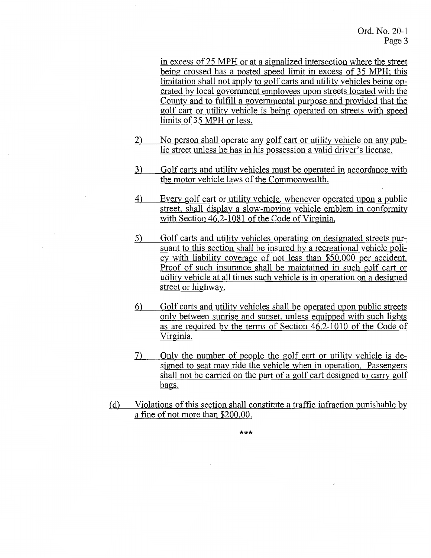in excess of 25 MPH or at a signalized intersection where the street being crossed has a posted speed limit in excess of 35 MPH; this limitation shall not apply to golf carts and utility vehicles being operated by local government employees upon streets located with the County and to fulfill a governmental purpose and provided that the golf cart or utility vehicle is being operated on streets with speed limits of35 MPH or less.

- 2) No person shall operate any golf cart or utility vehicle on any public street unless he has in his possession a valid driver's license.
- 3) Golf carts and utility vehicles must be operated in accordance with the motor vehicle laws of the Commonwealth.
- 4) Every golf cart or utility vehicle, whenever operated upon a public street, shall display a slow-moving vehicle emblem in conformity with Section 46.2-1081 of the Code of Virginia.
- 5) Golf carts and utility vehicles operating on designated streets pursuant to this section shall be insured by a recreational vehicle policy with liability coverage of not less than \$50,000 per accident. Proof of such insurance shall be maintained in such golf cart or utility vehicle at all times such vehicle is in operation on a designed street or highway.
- 6) Golf carts and utility vehicles shall be operated upon public streets only between sunrise and sunset, unless equipped with such lights as are required by the terms of Section 46.2-1010 of the Code of Virginia.
- 7) Only the number of people the golf cart or utility vehicle is designed to seat may ride the vehicle when in operation. Passengers shall not be carried on the part of a golf cart designed to carry golf bags.
- (d) Violations of this section shall constitute a traffic infraction punishable by a fine of not more than \$200.00.

\*\*\*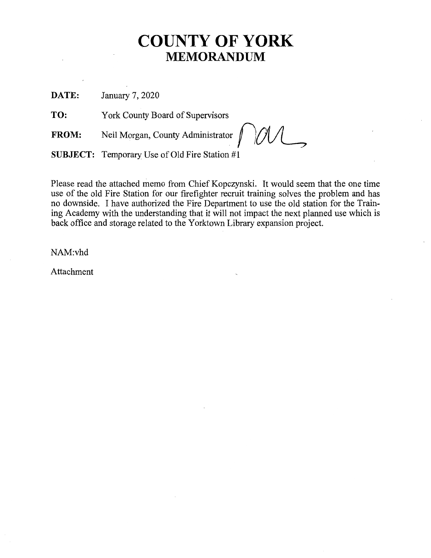# **COUNTY OF YORK MEMORANDUM**

**DATE:** January 7, 2020

**TO:** York County Board of Supervisors

FROM: Neil Morgan, County Administrator

**SUBJECT:** Temporary Use of Old Fire Station #1

Please read the attached memo from Chief Kopczynski. It would seem that the one time use of the old Fire Station for our firefighter recruit training solves the problem and has no downside. I have authorized the Fire Department to use the old station for the Training Academy with the understanding that it will not impact the next planned use which is back office and storage related to the Yorktown Library expansion project.

NAM:vhd

Attachment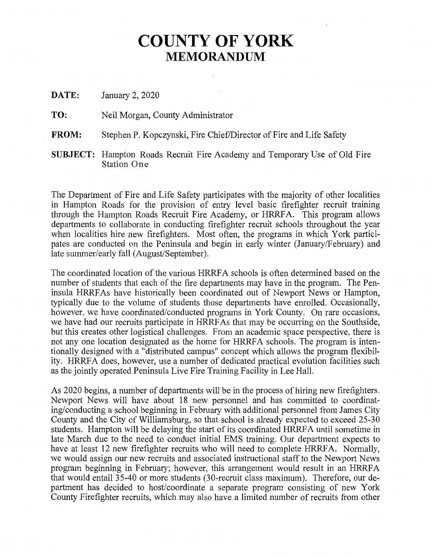# **COUNTY OF YORK MEMORANDUM**

| DATE: | January 2, 2020 |
|-------|-----------------|
|-------|-----------------|

**TO:** Neil Morgan, County Administrator

- **FROM:** Stephen P. Kopczynski, Fire Chief/Director of Fire and Life Safety
- **SUBJECT:** Hampton Roads Recruit Fire Academy and Temporary Use of Old Fire Station One

The Department of Fire and Life Safety participates with the majority of other localities in Hampton Roads for the provision of entry level basic firefighter recruit training through the Hampton Roads Recruit Fire Academy, or HRRFA. This program allows departments to collaborate in conducting firefighter recruit schools throughout the year when localities hire new firefighters. Most often, the programs in which York participates are conducted on the Peninsula and begin in early winter (January/February) and late summer/early fall (August/September).

The coordinated location of the various HRRFA schools is often determined based on the number of students that each of the fire departments may have in the program. The Peninsula HRRFAs have historically been coordinated out of Newport News or Hampton, typically due to the volume of students those departments have enrolled. Occasionally, however, we have coordinated/conducted programs in York County. On rare occasions, we have had our recruits participate in HRRFAs that may be occurring on the Southside, but this creates other logistical challenges. From an academic space perspective, there is not any one location designated as the home for HRRFA schools. The program is intentionally designed with a "distributed campus" concept which allows the program flexibility. HRRFA does, however, use a number of dedicated practical evolution facilities such as the jointly operated Peninsula Live Fire Training Facility in Lee Hall.

As 2020 begins, a number of departments will be in the process of hiring new firefighters. Newport News will have about 18 new personnel and has committed to coordinating/conducting a school beginning in February with additional personnel from James City County and the City of Williamsburg, so that school is already expected to exceed 25-30 students. Hampton will be delaying the start of its coordinated HRRFA until sometime in late March due to the need to conduct initial EMS training. Our department expects to have at least 12 new firefighter recruits who will need to complete HRRFA. Normally, we would assign our new recruits and associated instructional staff to the Newport News program beginning in February; however, this arrangement would result in an HRRFA that would entail 35-40 or more students (30-recruit class maximum). Therefore, our department has decided to host/coordinate a separate program consisting of new York County Firefighter recruits, which may also have a limited number of recruits from other